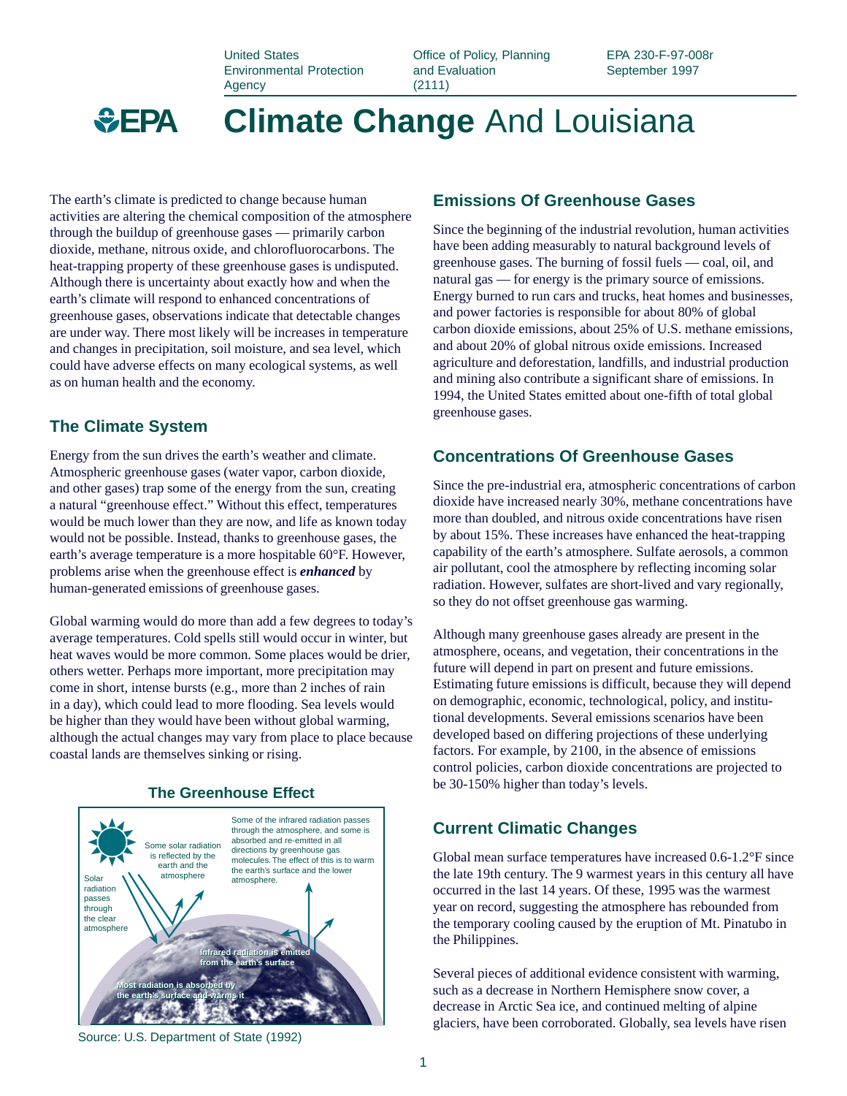United States Environmental Protection Agency

Office of Policy, Planning and Evaluation (2111)

EPA 230-F-97-008r September 1997



**Climate Change** And Louisiana

The earth's climate is predicted to change because human activities are altering the chemical composition of the atmosphere through the buildup of greenhouse gases — primarily carbon dioxide, methane, nitrous oxide, and chlorofluorocarbons. The heat-trapping property of these greenhouse gases is undisputed. Although there is uncertainty about exactly how and when the earth's climate will respond to enhanced concentrations of greenhouse gases, observations indicate that detectable changes are under way. There most likely will be increases in temperature and changes in precipitation, soil moisture, and sea level, which could have adverse effects on many ecological systems, as well as on human health and the economy.

### **The Climate System**

Energy from the sun drives the earth's weather and climate. Atmospheric greenhouse gases (water vapor, carbon dioxide, and other gases) trap some of the energy from the sun, creating a natural "greenhouse effect." Without this effect, temperatures would be much lower than they are now, and life as known today would not be possible. Instead, thanks to greenhouse gases, the earth's average temperature is a more hospitable 60°F. However, problems arise when the greenhouse effect is *enhanced* by human-generated emissions of greenhouse gases.

Global warming would do more than add a few degrees to today's average temperatures. Cold spells still would occur in winter, but heat waves would be more common. Some places would be drier, others wetter. Perhaps more important, more precipitation may come in short, intense bursts (e.g., more than 2 inches of rain in a day), which could lead to more flooding. Sea levels would be higher than they would have been without global warming, although the actual changes may vary from place to place because coastal lands are themselves sinking or rising.



#### **The Greenhouse Effect**

Source: U.S. Department of State (1992)

## **Emissions Of Greenhouse Gases**

Since the beginning of the industrial revolution, human activities have been adding measurably to natural background levels of greenhouse gases. The burning of fossil fuels — coal, oil, and natural gas — for energy is the primary source of emissions. Energy burned to run cars and trucks, heat homes and businesses, and power factories is responsible for about 80% of global carbon dioxide emissions, about 25% of U.S. methane emissions, and about 20% of global nitrous oxide emissions. Increased agriculture and deforestation, landfills, and industrial production and mining also contribute a significant share of emissions. In 1994, the United States emitted about one-fifth of total global greenhouse gases.

### **Concentrations Of Greenhouse Gases**

Since the pre-industrial era, atmospheric concentrations of carbon dioxide have increased nearly 30%, methane concentrations have more than doubled, and nitrous oxide concentrations have risen by about 15%. These increases have enhanced the heat-trapping capability of the earth's atmosphere. Sulfate aerosols, a common air pollutant, cool the atmosphere by reflecting incoming solar radiation. However, sulfates are short-lived and vary regionally, so they do not offset greenhouse gas warming.

Although many greenhouse gases already are present in the atmosphere, oceans, and vegetation, their concentrations in the future will depend in part on present and future emissions. Estimating future emissions is difficult, because they will depend on demographic, economic, technological, policy, and institutional developments. Several emissions scenarios have been developed based on differing projections of these underlying factors. For example, by 2100, in the absence of emissions control policies, carbon dioxide concentrations are projected to be 30-150% higher than today's levels.

#### **Current Climatic Changes**

Global mean surface temperatures have increased 0.6-1.2°F since the late 19th century. The 9 warmest years in this century all have occurred in the last 14 years. Of these, 1995 was the warmest year on record, suggesting the atmosphere has rebounded from the temporary cooling caused by the eruption of Mt. Pinatubo in the Philippines.

Several pieces of additional evidence consistent with warming, such as a decrease in Northern Hemisphere snow cover, a decrease in Arctic Sea ice, and continued melting of alpine glaciers, have been corroborated. Globally, sea levels have risen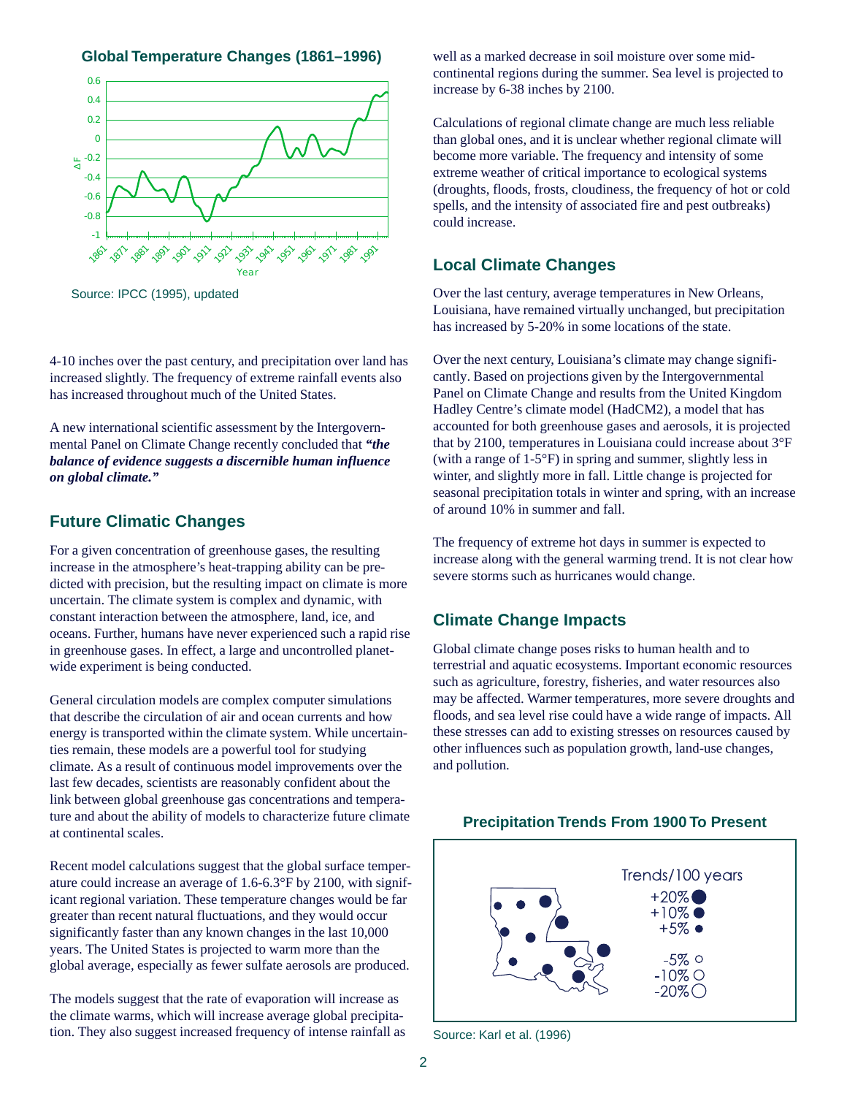**Global Temperature Changes (1861–1996)**



Source: IPCC (1995), updated

4-10 inches over the past century, and precipitation over land has increased slightly. The frequency of extreme rainfall events also has increased throughout much of the United States.

A new international scientific assessment by the Intergovernmental Panel on Climate Change recently concluded that *"the balance of evidence suggests a discernible human influence on global climate."*

#### **Future Climatic Changes**

For a given concentration of greenhouse gases, the resulting increase in the atmosphere's heat-trapping ability can be predicted with precision, but the resulting impact on climate is more uncertain. The climate system is complex and dynamic, with constant interaction between the atmosphere, land, ice, and oceans. Further, humans have never experienced such a rapid rise in greenhouse gases. In effect, a large and uncontrolled planetwide experiment is being conducted.

General circulation models are complex computer simulations that describe the circulation of air and ocean currents and how energy is transported within the climate system. While uncertainties remain, these models are a powerful tool for studying climate. As a result of continuous model improvements over the last few decades, scientists are reasonably confident about the link between global greenhouse gas concentrations and temperature and about the ability of models to characterize future climate at continental scales.

Recent model calculations suggest that the global surface temperature could increase an average of 1.6-6.3°F by 2100, with significant regional variation. These temperature changes would be far greater than recent natural fluctuations, and they would occur significantly faster than any known changes in the last 10,000 years. The United States is projected to warm more than the global average, especially as fewer sulfate aerosols are produced.

The models suggest that the rate of evaporation will increase as the climate warms, which will increase average global precipitation. They also suggest increased frequency of intense rainfall as well as a marked decrease in soil moisture over some midcontinental regions during the summer. Sea level is projected to increase by 6-38 inches by 2100.

Calculations of regional climate change are much less reliable than global ones, and it is unclear whether regional climate will become more variable. The frequency and intensity of some extreme weather of critical importance to ecological systems (droughts, floods, frosts, cloudiness, the frequency of hot or cold spells, and the intensity of associated fire and pest outbreaks) could increase.

#### **Local Climate Changes**

Over the last century, average temperatures in New Orleans, Louisiana, have remained virtually unchanged, but precipitation has increased by 5-20% in some locations of the state.

Over the next century, Louisiana's climate may change significantly. Based on projections given by the Intergovernmental Panel on Climate Change and results from the United Kingdom Hadley Centre's climate model (HadCM2), a model that has accounted for both greenhouse gases and aerosols, it is projected that by 2100, temperatures in Louisiana could increase about 3°F (with a range of 1-5°F) in spring and summer, slightly less in winter, and slightly more in fall. Little change is projected for seasonal precipitation totals in winter and spring, with an increase of around 10% in summer and fall.

The frequency of extreme hot days in summer is expected to increase along with the general warming trend. It is not clear how severe storms such as hurricanes would change.

#### **Climate Change Impacts**

Global climate change poses risks to human health and to terrestrial and aquatic ecosystems. Important economic resources such as agriculture, forestry, fisheries, and water resources also may be affected. Warmer temperatures, more severe droughts and floods, and sea level rise could have a wide range of impacts. All these stresses can add to existing stresses on resources caused by other influences such as population growth, land-use changes, and pollution.



**Precipitation Trends From 1900 To Present**

Source: Karl et al. (1996)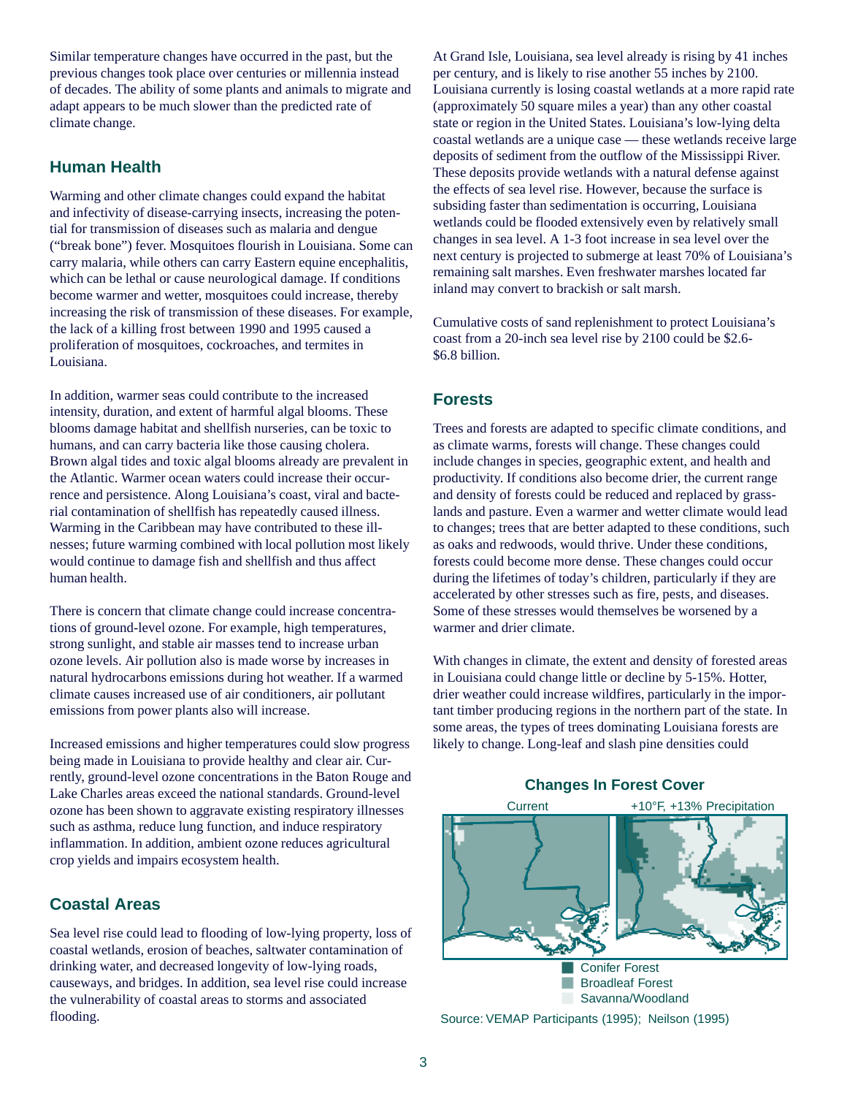Similar temperature changes have occurred in the past, but the previous changes took place over centuries or millennia instead of decades. The ability of some plants and animals to migrate and adapt appears to be much slower than the predicted rate of climate change.

### **Human Health**

Warming and other climate changes could expand the habitat and infectivity of disease-carrying insects, increasing the potential for transmission of diseases such as malaria and dengue ("break bone") fever. Mosquitoes flourish in Louisiana. Some can carry malaria, while others can carry Eastern equine encephalitis, which can be lethal or cause neurological damage. If conditions become warmer and wetter, mosquitoes could increase, thereby increasing the risk of transmission of these diseases. For example, the lack of a killing frost between 1990 and 1995 caused a proliferation of mosquitoes, cockroaches, and termites in Louisiana.

In addition, warmer seas could contribute to the increased intensity, duration, and extent of harmful algal blooms. These blooms damage habitat and shellfish nurseries, can be toxic to humans, and can carry bacteria like those causing cholera. Brown algal tides and toxic algal blooms already are prevalent in the Atlantic. Warmer ocean waters could increase their occurrence and persistence. Along Louisiana's coast, viral and bacterial contamination of shellfish has repeatedly caused illness. Warming in the Caribbean may have contributed to these illnesses; future warming combined with local pollution most likely would continue to damage fish and shellfish and thus affect human health.

There is concern that climate change could increase concentrations of ground-level ozone. For example, high temperatures, strong sunlight, and stable air masses tend to increase urban ozone levels. Air pollution also is made worse by increases in natural hydrocarbons emissions during hot weather. If a warmed climate causes increased use of air conditioners, air pollutant emissions from power plants also will increase.

Increased emissions and higher temperatures could slow progress being made in Louisiana to provide healthy and clear air. Currently, ground-level ozone concentrations in the Baton Rouge and Lake Charles areas exceed the national standards. Ground-level ozone has been shown to aggravate existing respiratory illnesses such as asthma, reduce lung function, and induce respiratory inflammation. In addition, ambient ozone reduces agricultural crop yields and impairs ecosystem health.

## **Coastal Areas**

Sea level rise could lead to flooding of low-lying property, loss of coastal wetlands, erosion of beaches, saltwater contamination of drinking water, and decreased longevity of low-lying roads, causeways, and bridges. In addition, sea level rise could increase the vulnerability of coastal areas to storms and associated flooding.

At Grand Isle, Louisiana, sea level already is rising by 41 inches per century, and is likely to rise another 55 inches by 2100. Louisiana currently is losing coastal wetlands at a more rapid rate (approximately 50 square miles a year) than any other coastal state or region in the United States. Louisiana's low-lying delta coastal wetlands are a unique case — these wetlands receive large deposits of sediment from the outflow of the Mississippi River. These deposits provide wetlands with a natural defense against the effects of sea level rise. However, because the surface is subsiding faster than sedimentation is occurring, Louisiana wetlands could be flooded extensively even by relatively small changes in sea level. A 1-3 foot increase in sea level over the next century is projected to submerge at least 70% of Louisiana's remaining salt marshes. Even freshwater marshes located far inland may convert to brackish or salt marsh.

Cumulative costs of sand replenishment to protect Louisiana's coast from a 20-inch sea level rise by 2100 could be \$2.6- \$6.8 billion.

# **Forests**

Trees and forests are adapted to specific climate conditions, and as climate warms, forests will change. These changes could include changes in species, geographic extent, and health and productivity. If conditions also become drier, the current range and density of forests could be reduced and replaced by grasslands and pasture. Even a warmer and wetter climate would lead to changes; trees that are better adapted to these conditions, such as oaks and redwoods, would thrive. Under these conditions, forests could become more dense. These changes could occur during the lifetimes of today's children, particularly if they are accelerated by other stresses such as fire, pests, and diseases. Some of these stresses would themselves be worsened by a warmer and drier climate.

With changes in climate, the extent and density of forested areas in Louisiana could change little or decline by 5-15%. Hotter, drier weather could increase wildfires, particularly in the important timber producing regions in the northern part of the state. In some areas, the types of trees dominating Louisiana forests are likely to change. Long-leaf and slash pine densities could

Current +10°F, +13% Precipitation Conifer Forest m. Broadleaf Forest Savanna/Woodland



### **Changes In Forest Cover**